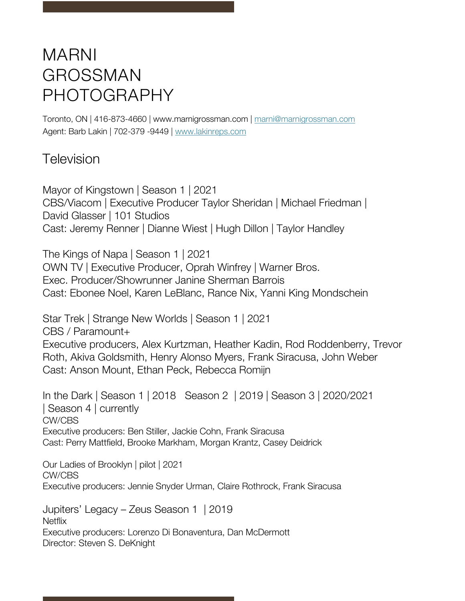## MARNI GROSSMAN PHOTOGRAPHY

Toronto, ON | 416-873-4660 | www.marnigrossman.com | marni@marnigrossman.com Agent: Barb Lakin | 702-379 -9449 | www.lakinreps.com

## Television

Mayor of Kingstown | Season 1 | 2021 CBS/Viacom | Executive Producer Taylor Sheridan | Michael Friedman | David Glasser | 101 Studios Cast: Jeremy Renner | Dianne Wiest | Hugh Dillon | Taylor Handley

The Kings of Napa | Season 1 | 2021 OWN TV | Executive Producer, Oprah Winfrey | Warner Bros. Exec. Producer/Showrunner Janine Sherman Barrois Cast: Ebonee Noel, Karen LeBlanc, Rance Nix, Yanni King Mondschein

Star Trek | Strange New Worlds | Season 1 | 2021 CBS / Paramount+ Executive producers, Alex Kurtzman, Heather Kadin, Rod Roddenberry, Trevor Roth, Akiva Goldsmith, Henry Alonso Myers, Frank Siracusa, John Weber Cast: Anson Mount, Ethan Peck, Rebecca Romijn

In the Dark | Season 1 | 2018 Season 2 | 2019 | Season 3 | 2020/2021 | Season 4 | currently CW/CBS Executive producers: Ben Stiller, Jackie Cohn, Frank Siracusa Cast: Perry Mattfield, Brooke Markham, Morgan Krantz, Casey Deidrick

Our Ladies of Brooklyn | pilot | 2021 CW/CBS Executive producers: Jennie Snyder Urman, Claire Rothrock, Frank Siracusa

Jupiters' Legacy – Zeus Season 1 | 2019 **Netflix** Executive producers: Lorenzo Di Bonaventura, Dan McDermott Director: Steven S. DeKnight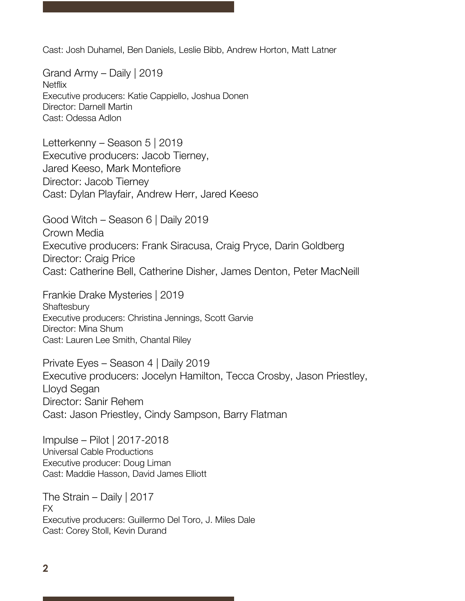Cast: Josh Duhamel, Ben Daniels, Leslie Bibb, Andrew Horton, Matt Latner

Grand Army – Daily | 2019 **Netflix** Executive producers: Katie Cappiello, Joshua Donen Director: Darnell Martin Cast: Odessa Adlon

Letterkenny – Season 5 | 2019 Executive producers: Jacob Tierney, Jared Keeso, Mark Montefiore Director: Jacob Tierney Cast: Dylan Playfair, Andrew Herr, Jared Keeso

Good Witch – Season 6 | Daily 2019 Crown Media Executive producers: Frank Siracusa, Craig Pryce, Darin Goldberg Director: Craig Price Cast: Catherine Bell, Catherine Disher, James Denton, Peter MacNeill

Frankie Drake Mysteries | 2019 **Shaftesbury** Executive producers: Christina Jennings, Scott Garvie Director: Mina Shum Cast: Lauren Lee Smith, Chantal Riley

Private Eyes – Season 4 | Daily 2019 Executive producers: Jocelyn Hamilton, Tecca Crosby, Jason Priestley, Lloyd Segan Director: Sanir Rehem Cast: Jason Priestley, Cindy Sampson, Barry Flatman

Impulse – Pilot | 2017-2018 Universal Cable Productions Executive producer: Doug Liman Cast: Maddie Hasson, David James Elliott

The Strain – Daily | 2017 FX Executive producers: Guillermo Del Toro, J. Miles Dale Cast: Corey Stoll, Kevin Durand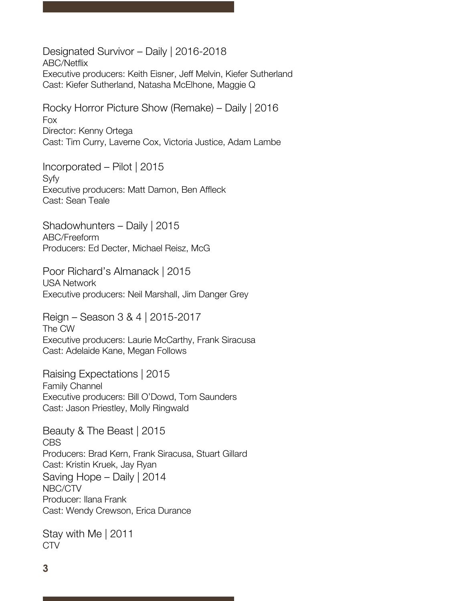Designated Survivor – Daily | 2016-2018 ABC/Netflix Executive producers: Keith Eisner, Jeff Melvin, Kiefer Sutherland Cast: Kiefer Sutherland, Natasha McElhone, Maggie Q

Rocky Horror Picture Show (Remake) – Daily | 2016 Fox Director: Kenny Ortega Cast: Tim Curry, Laverne Cox, Victoria Justice, Adam Lambe

Incorporated – Pilot | 2015 Syfy Executive producers: Matt Damon, Ben Affleck Cast: Sean Teale

Shadowhunters – Daily | 2015 ABC/Freeform Producers: Ed Decter, Michael Reisz, McG

Poor Richard's Almanack | 2015 USA Network Executive producers: Neil Marshall, Jim Danger Grey

Reign – Season 3 & 4 | 2015-2017 The CW Executive producers: Laurie McCarthy, Frank Siracusa Cast: Adelaide Kane, Megan Follows

Raising Expectations | 2015 Family Channel Executive producers: Bill O'Dowd, Tom Saunders Cast: Jason Priestley, Molly Ringwald

Beauty & The Beast | 2015 CBS Producers: Brad Kern, Frank Siracusa, Stuart Gillard Cast: Kristin Kruek, Jay Ryan Saving Hope – Daily | 2014 NBC/CTV Producer: Ilana Frank Cast: Wendy Crewson, Erica Durance

Stay with Me | 2011 CTV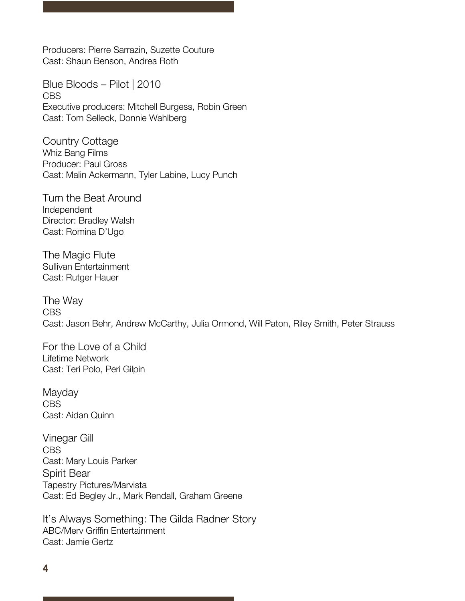Producers: Pierre Sarrazin, Suzette Couture Cast: Shaun Benson, Andrea Roth

Blue Bloods – Pilot | 2010 CBS Executive producers: Mitchell Burgess, Robin Green Cast: Tom Selleck, Donnie Wahlberg

Country Cottage Whiz Bang Films Producer: Paul Gross Cast: Malin Ackermann, Tyler Labine, Lucy Punch

Turn the Beat Around Independent Director: Bradley Walsh Cast: Romina D'Ugo

The Magic Flute Sullivan Entertainment Cast: Rutger Hauer

The Way CBS Cast: Jason Behr, Andrew McCarthy, Julia Ormond, Will Paton, Riley Smith, Peter Strauss

For the Love of a Child Lifetime Network Cast: Teri Polo, Peri Gilpin

**Mayday** CBS Cast: Aidan Quinn

Vinegar Gill CBS Cast: Mary Louis Parker Spirit Bear Tapestry Pictures/Marvista Cast: Ed Begley Jr., Mark Rendall, Graham Greene

It's Always Something: The Gilda Radner Story ABC/Merv Griffin Entertainment Cast: Jamie Gertz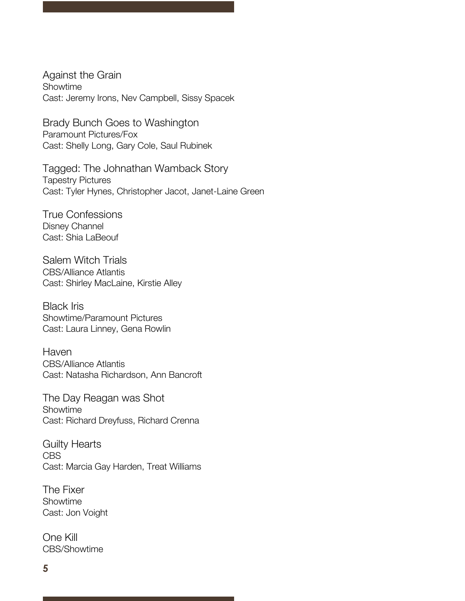Against the Grain Showtime Cast: Jeremy Irons, Nev Campbell, Sissy Spacek

Brady Bunch Goes to Washington Paramount Pictures/Fox Cast: Shelly Long, Gary Cole, Saul Rubinek

Tagged: The Johnathan Wamback Story Tapestry Pictures Cast: Tyler Hynes, Christopher Jacot, Janet-Laine Green

True Confessions Disney Channel Cast: Shia LaBeouf

Salem Witch Trials CBS/Alliance Atlantis Cast: Shirley MacLaine, Kirstie Alley

Black Iris Showtime/Paramount Pictures Cast: Laura Linney, Gena Rowlin

Haven CBS/Alliance Atlantis Cast: Natasha Richardson, Ann Bancroft

The Day Reagan was Shot Showtime Cast: Richard Dreyfuss, Richard Crenna

Guilty Hearts CBS Cast: Marcia Gay Harden, Treat Williams

The Fixer Showtime Cast: Jon Voight

One Kill CBS/Showtime